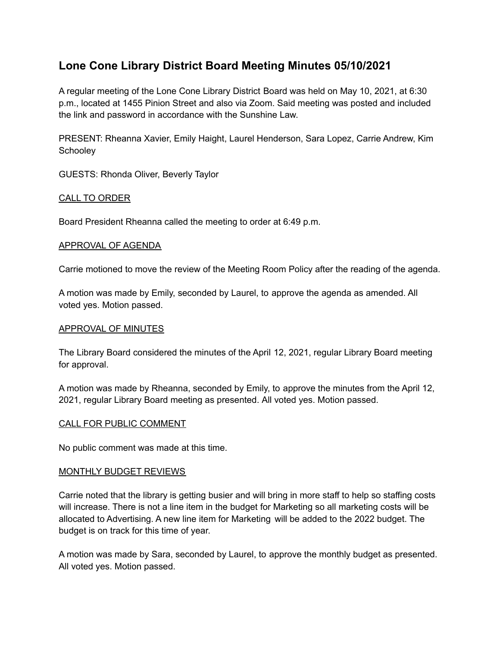# **Lone Cone Library District Board Meeting Minutes 05/10/2021**

A regular meeting of the Lone Cone Library District Board was held on May 10, 2021, at 6:30 p.m., located at 1455 Pinion Street and also via Zoom. Said meeting was posted and included the link and password in accordance with the Sunshine Law.

PRESENT: Rheanna Xavier, Emily Haight, Laurel Henderson, Sara Lopez, Carrie Andrew, Kim **Schoolev** 

GUESTS: Rhonda Oliver, Beverly Taylor

# CALL TO ORDER

Board President Rheanna called the meeting to order at 6:49 p.m.

## APPROVAL OF AGENDA

Carrie motioned to move the review of the Meeting Room Policy after the reading of the agenda.

A motion was made by Emily, seconded by Laurel, to approve the agenda as amended. All voted yes. Motion passed.

#### APPROVAL OF MINUTES

The Library Board considered the minutes of the April 12, 2021, regular Library Board meeting for approval.

A motion was made by Rheanna, seconded by Emily, to approve the minutes from the April 12, 2021, regular Library Board meeting as presented. All voted yes. Motion passed.

#### CALL FOR PUBLIC COMMENT

No public comment was made at this time.

## MONTHLY BUDGET REVIEWS

Carrie noted that the library is getting busier and will bring in more staff to help so staffing costs will increase. There is not a line item in the budget for Marketing so all marketing costs will be allocated to Advertising. A new line item for Marketing will be added to the 2022 budget. The budget is on track for this time of year.

A motion was made by Sara, seconded by Laurel, to approve the monthly budget as presented. All voted yes. Motion passed.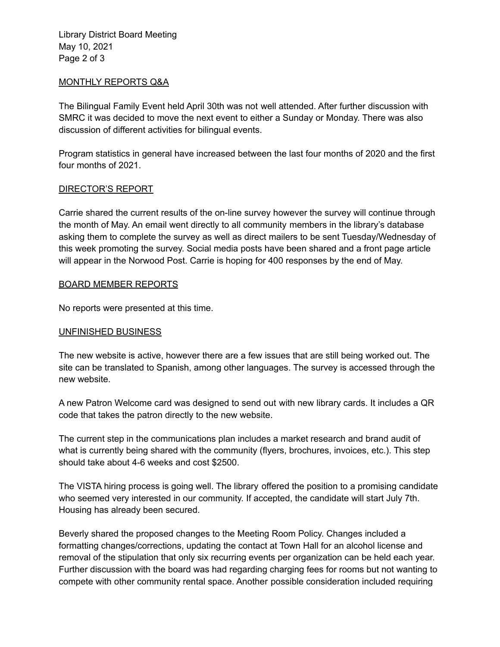Library District Board Meeting May 10, 2021 Page 2 of 3

#### MONTHLY REPORTS Q&A

The Bilingual Family Event held April 30th was not well attended. After further discussion with SMRC it was decided to move the next event to either a Sunday or Monday. There was also discussion of different activities for bilingual events.

Program statistics in general have increased between the last four months of 2020 and the first four months of 2021.

## DIRECTOR'S REPORT

Carrie shared the current results of the on-line survey however the survey will continue through the month of May. An email went directly to all community members in the library's database asking them to complete the survey as well as direct mailers to be sent Tuesday/Wednesday of this week promoting the survey. Social media posts have been shared and a front page article will appear in the Norwood Post. Carrie is hoping for 400 responses by the end of May.

## BOARD MEMBER REPORTS

No reports were presented at this time.

## UNFINISHED BUSINESS

The new website is active, however there are a few issues that are still being worked out. The site can be translated to Spanish, among other languages. The survey is accessed through the new website.

A new Patron Welcome card was designed to send out with new library cards. It includes a QR code that takes the patron directly to the new website.

The current step in the communications plan includes a market research and brand audit of what is currently being shared with the community (flyers, brochures, invoices, etc.). This step should take about 4-6 weeks and cost \$2500.

The VISTA hiring process is going well. The library offered the position to a promising candidate who seemed very interested in our community. If accepted, the candidate will start July 7th. Housing has already been secured.

Beverly shared the proposed changes to the Meeting Room Policy. Changes included a formatting changes/corrections, updating the contact at Town Hall for an alcohol license and removal of the stipulation that only six recurring events per organization can be held each year. Further discussion with the board was had regarding charging fees for rooms but not wanting to compete with other community rental space. Another possible consideration included requiring